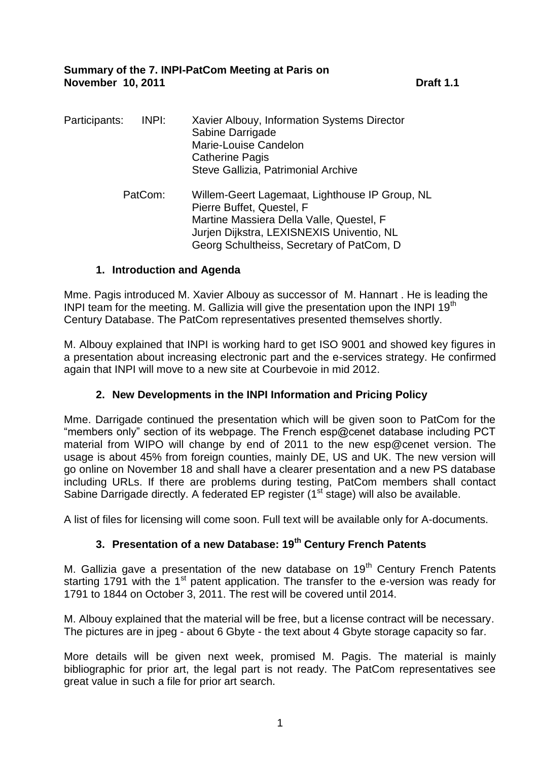**Summary of the 7. INPI-PatCom Meeting at Paris on November 10, 2011 Draft 1.1** 

| Participants: | INPI: | Xavier Albouy, Information Systems Director<br>Sabine Darrigade<br>Marie-Louise Candelon<br><b>Catherine Pagis</b><br>Steve Gallizia, Patrimonial Archive                                                         |
|---------------|-------|-------------------------------------------------------------------------------------------------------------------------------------------------------------------------------------------------------------------|
| PatCom:       |       | Willem-Geert Lagemaat, Lighthouse IP Group, NL<br>Pierre Buffet, Questel, F<br>Martine Massiera Della Valle, Questel, F<br>Jurjen Dijkstra, LEXISNEXIS Univentio, NL<br>Georg Schultheiss, Secretary of PatCom, D |

### **1. Introduction and Agenda**

Mme. Pagis introduced M. Xavier Albouy as successor of M. Hannart . He is leading the INPI team for the meeting. M. Gallizia will give the presentation upon the INPI 19<sup>th</sup> Century Database. The PatCom representatives presented themselves shortly.

M. Albouy explained that INPI is working hard to get ISO 9001 and showed key figures in a presentation about increasing electronic part and the e-services strategy. He confirmed again that INPI will move to a new site at Courbevoie in mid 2012.

# **2. New Developments in the INPI Information and Pricing Policy**

Mme. Darrigade continued the presentation which will be given soon to PatCom for the "members only" section of its webpage. The French esp@cenet database including PCT material from WIPO will change by end of 2011 to the new esp@cenet version. The usage is about 45% from foreign counties, mainly DE, US and UK. The new version will go online on November 18 and shall have a clearer presentation and a new PS database including URLs. If there are problems during testing, PatCom members shall contact Sabine Darrigade directly. A federated EP register (1<sup>st</sup> stage) will also be available.

A list of files for licensing will come soon. Full text will be available only for A-documents.

# **3. Presentation of a new Database: 19th Century French Patents**

M. Gallizia gave a presentation of the new database on  $19<sup>th</sup>$  Century French Patents starting 1791 with the 1<sup>st</sup> patent application. The transfer to the e-version was ready for 1791 to 1844 on October 3, 2011. The rest will be covered until 2014.

M. Albouy explained that the material will be free, but a license contract will be necessary. The pictures are in jpeg - about 6 Gbyte - the text about 4 Gbyte storage capacity so far.

More details will be given next week, promised M. Pagis. The material is mainly bibliographic for prior art, the legal part is not ready. The PatCom representatives see great value in such a file for prior art search.